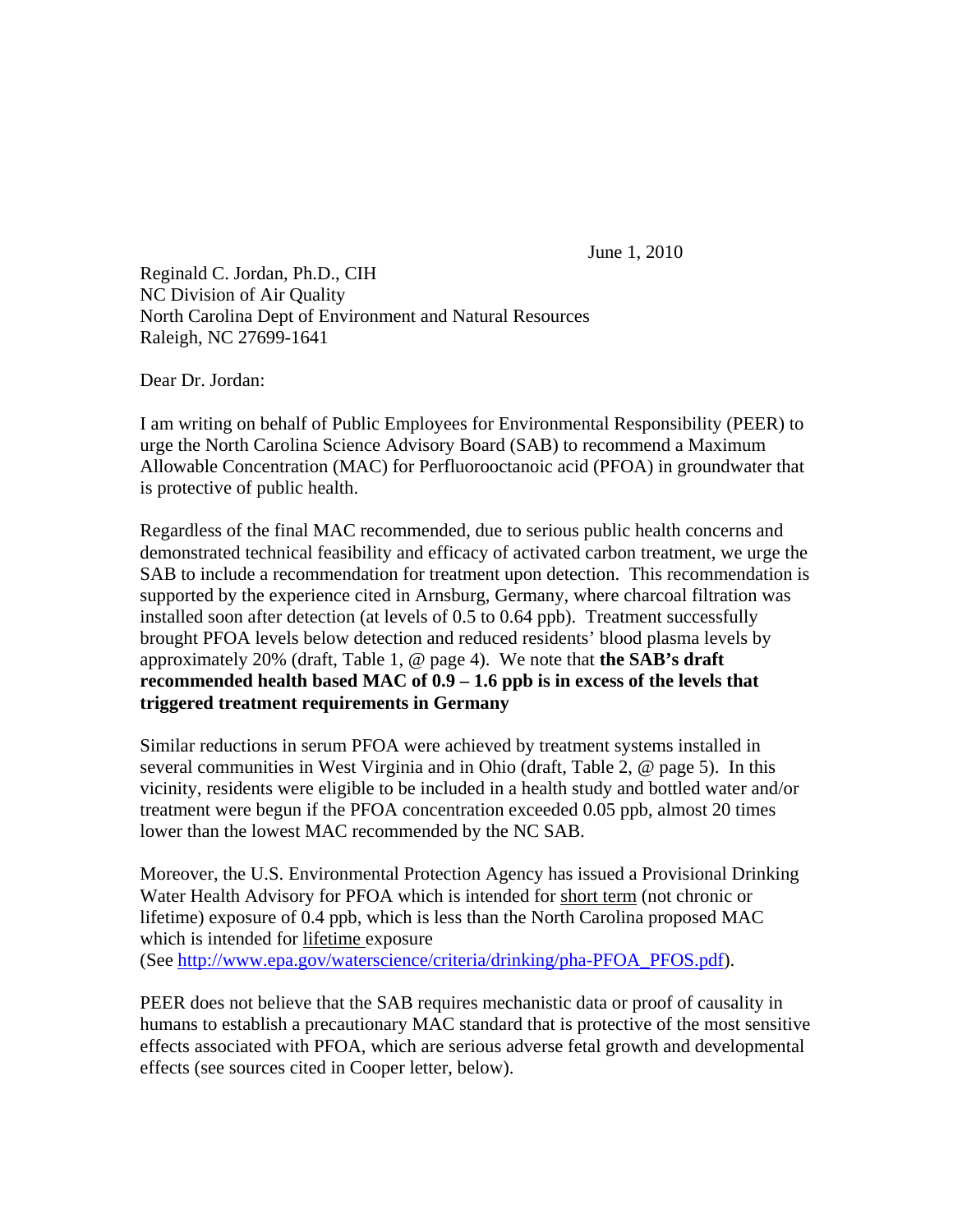June 1, 2010

Reginald C. Jordan, Ph.D., CIH NC Division of Air Quality North Carolina Dept of Environment and Natural Resources Raleigh, NC 27699-1641

Dear Dr. Jordan:

I am writing on behalf of Public Employees for Environmental Responsibility (PEER) to urge the North Carolina Science Advisory Board (SAB) to recommend a Maximum Allowable Concentration (MAC) for Perfluorooctanoic acid (PFOA) in groundwater that is protective of public health.

Regardless of the final MAC recommended, due to serious public health concerns and demonstrated technical feasibility and efficacy of activated carbon treatment, we urge the SAB to include a recommendation for treatment upon detection. This recommendation is supported by the experience cited in Arnsburg, Germany, where charcoal filtration was installed soon after detection (at levels of 0.5 to 0.64 ppb). Treatment successfully brought PFOA levels below detection and reduced residents' blood plasma levels by approximately 20% (draft, Table 1, @ page 4). We note that **the SAB's draft recommended health based MAC of 0.9 – 1.6 ppb is in excess of the levels that triggered treatment requirements in Germany**

Similar reductions in serum PFOA were achieved by treatment systems installed in several communities in West Virginia and in Ohio (draft, Table 2, @ page 5). In this vicinity, residents were eligible to be included in a health study and bottled water and/or treatment were begun if the PFOA concentration exceeded 0.05 ppb, almost 20 times lower than the lowest MAC recommended by the NC SAB.

Moreover, the U.S. Environmental Protection Agency has issued a Provisional Drinking Water Health Advisory for PFOA which is intended for short term (not chronic or lifetime) exposure of 0.4 ppb, which is less than the North Carolina proposed MAC which is intended for lifetime exposure (See [http://www.epa.gov/waterscience/criteria/drinking/pha-PFOA\\_PFOS.pdf](http://www.epa.gov/waterscience/criteria/drinking/pha-PFOA_PFOS.pdf)).

PEER does not believe that the SAB requires mechanistic data or proof of causality in humans to establish a precautionary MAC standard that is protective of the most sensitive effects associated with PFOA, which are serious adverse fetal growth and developmental effects (see sources cited in Cooper letter, below).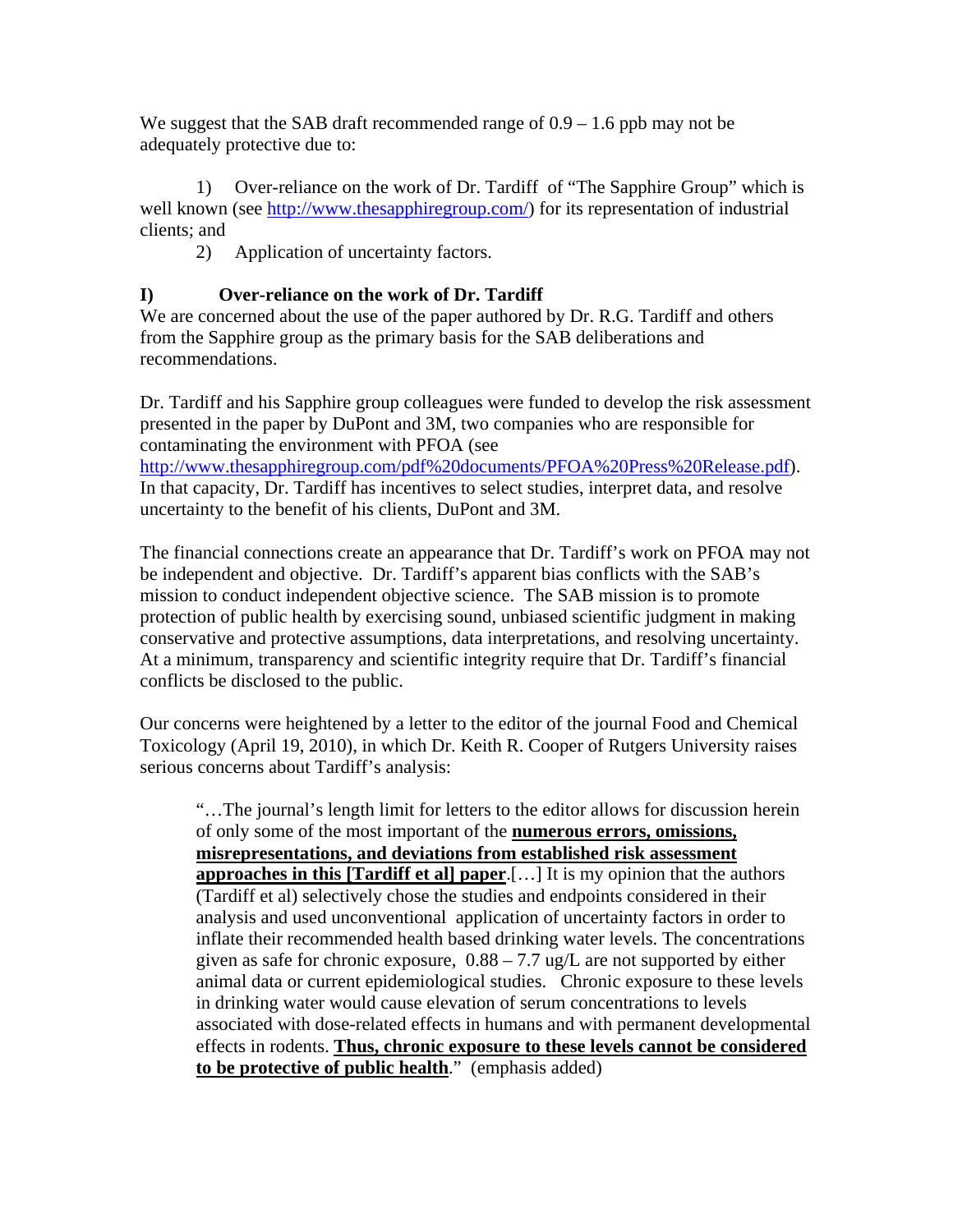We suggest that the SAB draft recommended range of  $0.9 - 1.6$  ppb may not be adequately protective due to:

 1) Over-reliance on the work of Dr. Tardiff of "The Sapphire Group" which is well known (see [http://www.thesapphiregroup.com/\)](http://www.thesapphiregroup.com/) for its representation of industrial clients; and

2) Application of uncertainty factors.

## **I) Over-reliance on the work of Dr. Tardiff**

We are concerned about the use of the paper authored by Dr. R.G. Tardiff and others from the Sapphire group as the primary basis for the SAB deliberations and recommendations.

Dr. Tardiff and his Sapphire group colleagues were funded to develop the risk assessment presented in the paper by DuPont and 3M, two companies who are responsible for contaminating the environment with PFOA (see

[http://www.thesapphiregroup.com/pdf%20documents/PFOA%20Press%20Release.pdf\)](http://www.thesapphiregroup.com/pdf%20documents/PFOA%20Press%20Release.pdf). In that capacity, Dr. Tardiff has incentives to select studies, interpret data, and resolve uncertainty to the benefit of his clients, DuPont and 3M.

The financial connections create an appearance that Dr. Tardiff's work on PFOA may not be independent and objective. Dr. Tardiff's apparent bias conflicts with the SAB's mission to conduct independent objective science. The SAB mission is to promote protection of public health by exercising sound, unbiased scientific judgment in making conservative and protective assumptions, data interpretations, and resolving uncertainty. At a minimum, transparency and scientific integrity require that Dr. Tardiff's financial conflicts be disclosed to the public.

Our concerns were heightened by a letter to the editor of the journal Food and Chemical Toxicology (April 19, 2010), in which Dr. Keith R. Cooper of Rutgers University raises serious concerns about Tardiff's analysis:

"…The journal's length limit for letters to the editor allows for discussion herein of only some of the most important of the **numerous errors, omissions, misrepresentations, and deviations from established risk assessment approaches in this [Tardiff et al] paper**.[…] It is my opinion that the authors (Tardiff et al) selectively chose the studies and endpoints considered in their analysis and used unconventional application of uncertainty factors in order to inflate their recommended health based drinking water levels. The concentrations given as safe for chronic exposure,  $0.88 - 7.7$  ug/L are not supported by either animal data or current epidemiological studies. Chronic exposure to these levels in drinking water would cause elevation of serum concentrations to levels associated with dose-related effects in humans and with permanent developmental effects in rodents. **Thus, chronic exposure to these levels cannot be considered to be protective of public health**." (emphasis added)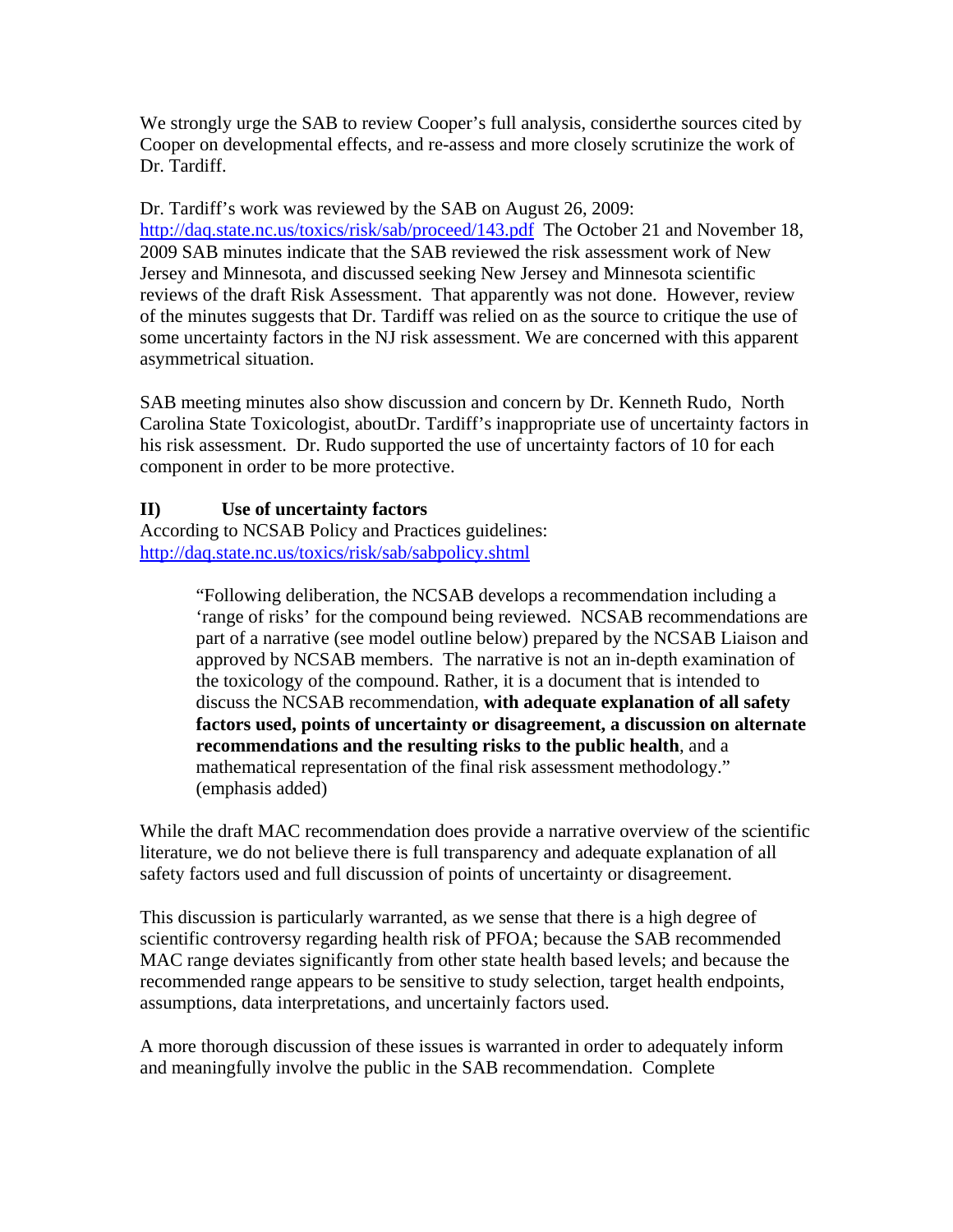We strongly urge the SAB to review Cooper's full analysis, considerthe sources cited by Cooper on developmental effects, and re-assess and more closely scrutinize the work of Dr. Tardiff.

Dr. Tardiff's work was reviewed by the SAB on August 26, 2009: <http://daq.state.nc.us/toxics/risk/sab/proceed/143.pdf> The October 21 and November 18, 2009 SAB minutes indicate that the SAB reviewed the risk assessment work of New Jersey and Minnesota, and discussed seeking New Jersey and Minnesota scientific reviews of the draft Risk Assessment. That apparently was not done. However, review of the minutes suggests that Dr. Tardiff was relied on as the source to critique the use of some uncertainty factors in the NJ risk assessment. We are concerned with this apparent asymmetrical situation.

SAB meeting minutes also show discussion and concern by Dr. Kenneth Rudo, North Carolina State Toxicologist, aboutDr. Tardiff's inappropriate use of uncertainty factors in his risk assessment. Dr. Rudo supported the use of uncertainty factors of 10 for each component in order to be more protective.

## **II) Use of uncertainty factors**

According to NCSAB Policy and Practices guidelines: <http://daq.state.nc.us/toxics/risk/sab/sabpolicy.shtml>

> "Following deliberation, the NCSAB develops a recommendation including a 'range of risks' for the compound being reviewed. NCSAB recommendations are part of a narrative (see model outline below) prepared by the NCSAB Liaison and approved by NCSAB members. The narrative is not an in-depth examination of the toxicology of the compound. Rather, it is a document that is intended to discuss the NCSAB recommendation, **with adequate explanation of all safety factors used, points of uncertainty or disagreement, a discussion on alternate recommendations and the resulting risks to the public health**, and a mathematical representation of the final risk assessment methodology." (emphasis added)

While the draft MAC recommendation does provide a narrative overview of the scientific literature, we do not believe there is full transparency and adequate explanation of all safety factors used and full discussion of points of uncertainty or disagreement.

This discussion is particularly warranted, as we sense that there is a high degree of scientific controversy regarding health risk of PFOA; because the SAB recommended MAC range deviates significantly from other state health based levels; and because the recommended range appears to be sensitive to study selection, target health endpoints, assumptions, data interpretations, and uncertainly factors used.

A more thorough discussion of these issues is warranted in order to adequately inform and meaningfully involve the public in the SAB recommendation. Complete